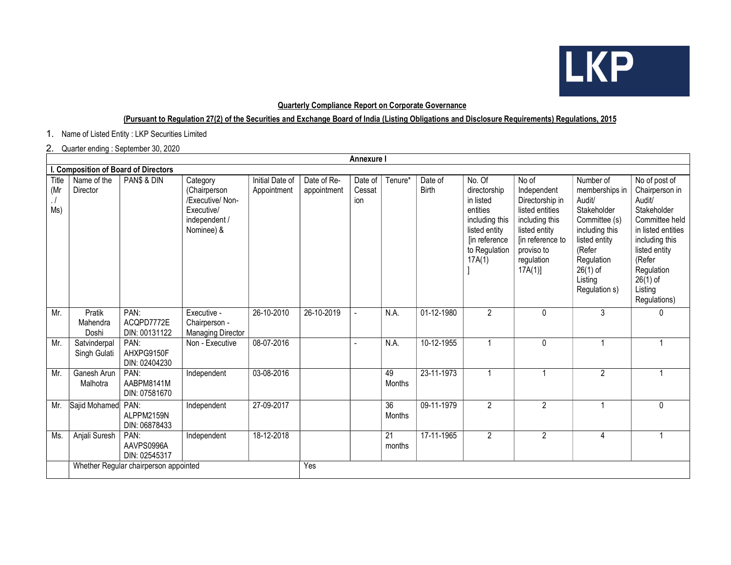

#### Quarterly Compliance Report on Corporate Governance

### (Pursuant to Regulation 27(2) of the Securities and Exchange Board of India (Listing Obligations and Disclosure Requirements) Regulations, 2015

1. Name of Listed Entity : LKP Securities Limited

### 2. Quarter ending : September 30, 2020

| <b>Annexure I</b>                    |                                       |                                     |                                                                                           |                                |                            |                          |                           |                         |                                                                                                                                |                                                                                                                                                         |                                                                                                                                                                            |                                                                                                                                                                                                      |
|--------------------------------------|---------------------------------------|-------------------------------------|-------------------------------------------------------------------------------------------|--------------------------------|----------------------------|--------------------------|---------------------------|-------------------------|--------------------------------------------------------------------------------------------------------------------------------|---------------------------------------------------------------------------------------------------------------------------------------------------------|----------------------------------------------------------------------------------------------------------------------------------------------------------------------------|------------------------------------------------------------------------------------------------------------------------------------------------------------------------------------------------------|
| I. Composition of Board of Directors |                                       |                                     |                                                                                           |                                |                            |                          |                           |                         |                                                                                                                                |                                                                                                                                                         |                                                                                                                                                                            |                                                                                                                                                                                                      |
| Title<br>(Mr<br>Ms)                  | Name of the<br>Director               | PAN\$ & DIN                         | Category<br>(Chairperson<br>/Executive/ Non-<br>Executive/<br>independent /<br>Nominee) & | Initial Date of<br>Appointment | Date of Re-<br>appointment | Date of<br>Cessat<br>ion | Tenure*                   | Date of<br><b>Birth</b> | No. Of<br>directorship<br>in listed<br>entities<br>including this<br>listed entity<br>[in reference<br>to Regulation<br>17A(1) | No of<br>Independent<br>Directorship in<br>listed entities<br>including this<br>listed entity<br>[in reference to<br>proviso to<br>regulation<br>17A(1) | Number of<br>memberships in<br>Audit/<br>Stakeholder<br>Committee (s)<br>including this<br>listed entity<br>(Refer<br>Regulation<br>$26(1)$ of<br>Listing<br>Regulation s) | No of post of<br>Chairperson in<br>Audit/<br>Stakeholder<br>Committee held<br>in listed entities<br>including this<br>listed entity<br>(Refer<br>Regulation<br>$26(1)$ of<br>Listing<br>Regulations) |
| Mr.                                  | Pratik<br>Mahendra<br>Doshi           | PAN:<br>ACQPD7772E<br>DIN: 00131122 | Executive -<br>Chairperson -<br><b>Managing Director</b>                                  | 26-10-2010                     | 26-10-2019                 |                          | N.A.                      | 01-12-1980              | $\overline{2}$                                                                                                                 | $\mathbf{0}$                                                                                                                                            | 3                                                                                                                                                                          | 0                                                                                                                                                                                                    |
| Mr.                                  | Satvinderpal<br>Singh Gulati          | PAN:<br>AHXPG9150F<br>DIN: 02404230 | Non - Executive                                                                           | 08-07-2016                     |                            |                          | N.A.                      | 10-12-1955              |                                                                                                                                | 0                                                                                                                                                       |                                                                                                                                                                            |                                                                                                                                                                                                      |
| Mr.                                  | Ganesh Arun<br>Malhotra               | PAN:<br>AABPM8141M<br>DIN: 07581670 | Independent                                                                               | 03-08-2016                     |                            |                          | 49<br>Months              | 23-11-1973              | 1                                                                                                                              | -1                                                                                                                                                      | $\overline{2}$                                                                                                                                                             |                                                                                                                                                                                                      |
| Mr.                                  | Sajid Mohamed                         | PAN:<br>ALPPM2159N<br>DIN: 06878433 | Independent                                                                               | 27-09-2017                     |                            |                          | $\overline{36}$<br>Months | 09-11-1979              | $\overline{2}$                                                                                                                 | $\overline{2}$                                                                                                                                          |                                                                                                                                                                            | 0                                                                                                                                                                                                    |
| Ms.                                  | Anjali Suresh                         | PAN:<br>AAVPS0996A<br>DIN: 02545317 | Independent                                                                               | 18-12-2018                     |                            |                          | 21<br>months              | 17-11-1965              | $\overline{2}$                                                                                                                 | $\overline{2}$                                                                                                                                          | 4                                                                                                                                                                          |                                                                                                                                                                                                      |
|                                      | Whether Regular chairperson appointed |                                     |                                                                                           |                                | Yes                        |                          |                           |                         |                                                                                                                                |                                                                                                                                                         |                                                                                                                                                                            |                                                                                                                                                                                                      |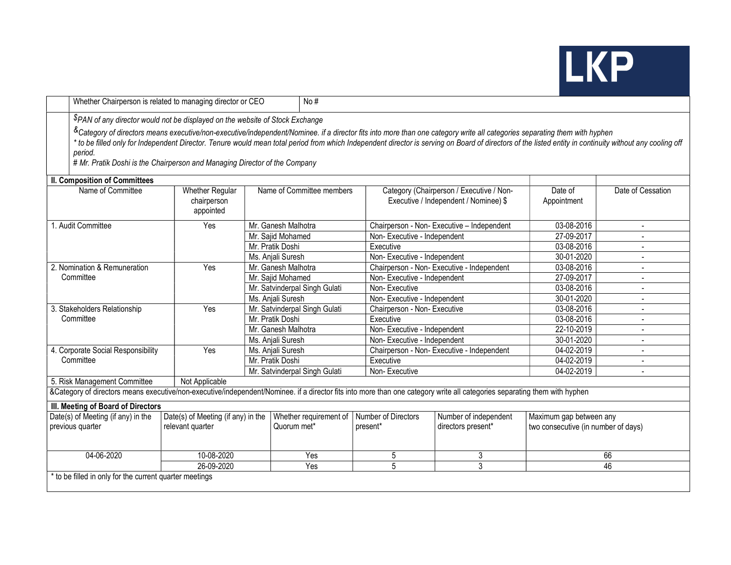# **LKP**

|                                                                                                                                                                           | Whether Chairperson is related to managing director or CEO<br>No#                                                                                                                                                                                                                                                                                                                                |                                                    |                           |                               |                              |                                                                                   |                                     |                   |  |  |  |
|---------------------------------------------------------------------------------------------------------------------------------------------------------------------------|--------------------------------------------------------------------------------------------------------------------------------------------------------------------------------------------------------------------------------------------------------------------------------------------------------------------------------------------------------------------------------------------------|----------------------------------------------------|---------------------------|-------------------------------|------------------------------|-----------------------------------------------------------------------------------|-------------------------------------|-------------------|--|--|--|
|                                                                                                                                                                           | PAN of any director would not be displayed on the website of Stock Exchange                                                                                                                                                                                                                                                                                                                      |                                                    |                           |                               |                              |                                                                                   |                                     |                   |  |  |  |
|                                                                                                                                                                           | &Category of directors means executive/non-executive/independent/Nominee. if a director fits into more than one category write all categories separating them with hyphen<br>* to be filled only for Independent Director. Tenure would mean total period from which Independent director is serving on Board of directors of the listed entity in continuity without any cooling off<br>period. |                                                    |                           |                               |                              |                                                                                   |                                     |                   |  |  |  |
|                                                                                                                                                                           | # Mr. Pratik Doshi is the Chairperson and Managing Director of the Company                                                                                                                                                                                                                                                                                                                       |                                                    |                           |                               |                              |                                                                                   |                                     |                   |  |  |  |
| <b>II. Composition of Committees</b>                                                                                                                                      |                                                                                                                                                                                                                                                                                                                                                                                                  |                                                    |                           |                               |                              |                                                                                   |                                     |                   |  |  |  |
|                                                                                                                                                                           | Name of Committee                                                                                                                                                                                                                                                                                                                                                                                | <b>Whether Regular</b><br>chairperson<br>appointed | Name of Committee members |                               |                              | Category (Chairperson / Executive / Non-<br>Executive / Independent / Nominee) \$ | Date of<br>Appointment              | Date of Cessation |  |  |  |
|                                                                                                                                                                           | 1. Audit Committee                                                                                                                                                                                                                                                                                                                                                                               | Yes                                                |                           | Mr. Ganesh Malhotra           |                              | Chairperson - Non-Executive - Independent                                         | 03-08-2016                          | $\overline{a}$    |  |  |  |
|                                                                                                                                                                           |                                                                                                                                                                                                                                                                                                                                                                                                  |                                                    | Mr. Sajid Mohamed         |                               | Non-Executive - Independent  |                                                                                   | 27-09-2017                          |                   |  |  |  |
|                                                                                                                                                                           |                                                                                                                                                                                                                                                                                                                                                                                                  |                                                    | Mr. Pratik Doshi          |                               | Executive                    |                                                                                   | 03-08-2016                          |                   |  |  |  |
|                                                                                                                                                                           |                                                                                                                                                                                                                                                                                                                                                                                                  |                                                    |                           | Ms. Anjali Suresh             | Non-Executive - Independent  |                                                                                   | 30-01-2020                          | $\blacksquare$    |  |  |  |
|                                                                                                                                                                           | 2. Nomination & Remuneration                                                                                                                                                                                                                                                                                                                                                                     | Yes                                                | Mr. Ganesh Malhotra       |                               |                              | Chairperson - Non- Executive - Independent                                        | $03-08-2016$                        | $\blacksquare$    |  |  |  |
|                                                                                                                                                                           | Committee                                                                                                                                                                                                                                                                                                                                                                                        |                                                    | Mr. Sajid Mohamed         |                               | Non-Executive - Independent  |                                                                                   | 27-09-2017                          |                   |  |  |  |
|                                                                                                                                                                           |                                                                                                                                                                                                                                                                                                                                                                                                  |                                                    |                           | Mr. Satvinderpal Singh Gulati | Non-Executive                |                                                                                   | 03-08-2016                          |                   |  |  |  |
|                                                                                                                                                                           |                                                                                                                                                                                                                                                                                                                                                                                                  |                                                    |                           | Ms. Anjali Suresh             | Non-Executive - Independent  |                                                                                   | 30-01-2020                          |                   |  |  |  |
|                                                                                                                                                                           | 3. Stakeholders Relationship                                                                                                                                                                                                                                                                                                                                                                     | Yes                                                |                           | Mr. Satvinderpal Singh Gulati | Chairperson - Non- Executive |                                                                                   | 03-08-2016                          |                   |  |  |  |
|                                                                                                                                                                           | Committee                                                                                                                                                                                                                                                                                                                                                                                        |                                                    | Mr. Pratik Doshi          |                               | Executive                    |                                                                                   | 03-08-2016                          |                   |  |  |  |
|                                                                                                                                                                           |                                                                                                                                                                                                                                                                                                                                                                                                  |                                                    |                           | Mr. Ganesh Malhotra           | Non-Executive - Independent  |                                                                                   | 22-10-2019                          |                   |  |  |  |
|                                                                                                                                                                           |                                                                                                                                                                                                                                                                                                                                                                                                  |                                                    | Ms. Anjali Suresh         |                               | Non-Executive - Independent  |                                                                                   | 30-01-2020                          |                   |  |  |  |
|                                                                                                                                                                           | 4. Corporate Social Responsibility                                                                                                                                                                                                                                                                                                                                                               | Yes                                                |                           | Ms. Anjali Suresh             |                              | Chairperson - Non- Executive - Independent                                        | 04-02-2019                          |                   |  |  |  |
|                                                                                                                                                                           | Committee                                                                                                                                                                                                                                                                                                                                                                                        |                                                    | Mr. Pratik Doshi          |                               | Executive                    |                                                                                   | 04-02-2019                          |                   |  |  |  |
|                                                                                                                                                                           |                                                                                                                                                                                                                                                                                                                                                                                                  |                                                    |                           | Mr. Satvinderpal Singh Gulati | Non-Executive                |                                                                                   | 04-02-2019                          | $\blacksquare$    |  |  |  |
|                                                                                                                                                                           | 5. Risk Management Committee                                                                                                                                                                                                                                                                                                                                                                     | Not Applicable                                     |                           |                               |                              |                                                                                   |                                     |                   |  |  |  |
| &Category of directors means executive/non-executive/independent/Nominee. if a director fits into more than one category write all categories separating them with hyphen |                                                                                                                                                                                                                                                                                                                                                                                                  |                                                    |                           |                               |                              |                                                                                   |                                     |                   |  |  |  |
| III. Meeting of Board of Directors                                                                                                                                        |                                                                                                                                                                                                                                                                                                                                                                                                  |                                                    |                           |                               |                              |                                                                                   |                                     |                   |  |  |  |
| Date(s) of Meeting (if any) in the                                                                                                                                        |                                                                                                                                                                                                                                                                                                                                                                                                  | Date(s) of Meeting (if any) in the                 |                           | Whether requirement of        | Number of Directors          | Number of independent                                                             | Maximum gap between any             |                   |  |  |  |
| previous quarter                                                                                                                                                          |                                                                                                                                                                                                                                                                                                                                                                                                  | relevant quarter                                   |                           | Quorum met*                   | present*                     | directors present*                                                                | two consecutive (in number of days) |                   |  |  |  |
| 04-06-2020                                                                                                                                                                |                                                                                                                                                                                                                                                                                                                                                                                                  | 10-08-2020                                         |                           | Yes                           | 5                            | 3                                                                                 | 66                                  |                   |  |  |  |
|                                                                                                                                                                           |                                                                                                                                                                                                                                                                                                                                                                                                  | 26-09-2020                                         |                           |                               | $\overline{5}$               | $\overline{3}$                                                                    | 46                                  |                   |  |  |  |
| * to be filled in only for the current quarter meetings                                                                                                                   |                                                                                                                                                                                                                                                                                                                                                                                                  |                                                    |                           |                               |                              |                                                                                   |                                     |                   |  |  |  |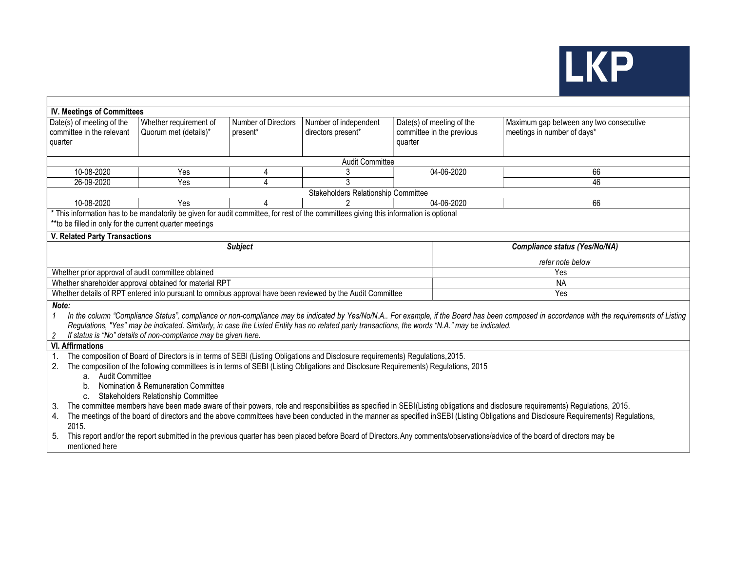

| <b>IV. Meetings of Committees</b>                                                                                                                                                                                                                                                                                                                                                                                                 |                                                                                                                                                                                       |                                 |                                             |                                                                   |                                                                        |  |  |  |  |  |
|-----------------------------------------------------------------------------------------------------------------------------------------------------------------------------------------------------------------------------------------------------------------------------------------------------------------------------------------------------------------------------------------------------------------------------------|---------------------------------------------------------------------------------------------------------------------------------------------------------------------------------------|---------------------------------|---------------------------------------------|-------------------------------------------------------------------|------------------------------------------------------------------------|--|--|--|--|--|
| Date(s) of meeting of the<br>committee in the relevant<br>quarter                                                                                                                                                                                                                                                                                                                                                                 | Whether requirement of<br>Quorum met (details)*                                                                                                                                       | Number of Directors<br>present* | Number of independent<br>directors present* | Date(s) of meeting of the<br>committee in the previous<br>quarter | Maximum gap between any two consecutive<br>meetings in number of days* |  |  |  |  |  |
| <b>Audit Committee</b>                                                                                                                                                                                                                                                                                                                                                                                                            |                                                                                                                                                                                       |                                 |                                             |                                                                   |                                                                        |  |  |  |  |  |
| 10-08-2020                                                                                                                                                                                                                                                                                                                                                                                                                        | Yes                                                                                                                                                                                   | 4                               | 3                                           | 04-06-2020                                                        | 66                                                                     |  |  |  |  |  |
| 26-09-2020                                                                                                                                                                                                                                                                                                                                                                                                                        | Yes                                                                                                                                                                                   | 4                               | 3                                           |                                                                   | 46                                                                     |  |  |  |  |  |
| <b>Stakeholders Relationship Committee</b>                                                                                                                                                                                                                                                                                                                                                                                        |                                                                                                                                                                                       |                                 |                                             |                                                                   |                                                                        |  |  |  |  |  |
| 10-08-2020                                                                                                                                                                                                                                                                                                                                                                                                                        | Yes                                                                                                                                                                                   |                                 | 2                                           | 04-06-2020                                                        | 66                                                                     |  |  |  |  |  |
| * This information has to be mandatorily be given for audit committee, for rest of the committees giving this information is optional<br>** to be filled in only for the current quarter meetings                                                                                                                                                                                                                                 |                                                                                                                                                                                       |                                 |                                             |                                                                   |                                                                        |  |  |  |  |  |
| <b>V. Related Party Transactions</b><br><b>Subject</b><br><b>Compliance status (Yes/No/NA)</b>                                                                                                                                                                                                                                                                                                                                    |                                                                                                                                                                                       |                                 |                                             |                                                                   |                                                                        |  |  |  |  |  |
|                                                                                                                                                                                                                                                                                                                                                                                                                                   |                                                                                                                                                                                       |                                 |                                             |                                                                   |                                                                        |  |  |  |  |  |
|                                                                                                                                                                                                                                                                                                                                                                                                                                   |                                                                                                                                                                                       |                                 |                                             |                                                                   | refer note below                                                       |  |  |  |  |  |
| Whether prior approval of audit committee obtained                                                                                                                                                                                                                                                                                                                                                                                |                                                                                                                                                                                       |                                 |                                             |                                                                   | Yes                                                                    |  |  |  |  |  |
| <b>NA</b><br>Whether shareholder approval obtained for material RPT<br>Whether details of RPT entered into pursuant to omnibus approval have been reviewed by the Audit Committee                                                                                                                                                                                                                                                 |                                                                                                                                                                                       |                                 |                                             |                                                                   |                                                                        |  |  |  |  |  |
|                                                                                                                                                                                                                                                                                                                                                                                                                                   |                                                                                                                                                                                       |                                 |                                             |                                                                   | Yes                                                                    |  |  |  |  |  |
| Note:<br>In the column "Compliance Status", compliance or non-compliance may be indicated by Yes/No/N.A For example, if the Board has been composed in accordance with the requirements of Listing<br>1<br>Regulations, "Yes" may be indicated. Similarly, in case the Listed Entity has no related party transactions, the words "N.A." may be indicated.<br>If status is "No" details of non-compliance may be given here.<br>2 |                                                                                                                                                                                       |                                 |                                             |                                                                   |                                                                        |  |  |  |  |  |
| <b>VI. Affirmations</b>                                                                                                                                                                                                                                                                                                                                                                                                           |                                                                                                                                                                                       |                                 |                                             |                                                                   |                                                                        |  |  |  |  |  |
| 1.                                                                                                                                                                                                                                                                                                                                                                                                                                | The composition of Board of Directors is in terms of SEBI (Listing Obligations and Disclosure requirements) Regulations, 2015.                                                        |                                 |                                             |                                                                   |                                                                        |  |  |  |  |  |
|                                                                                                                                                                                                                                                                                                                                                                                                                                   | 2. The composition of the following committees is in terms of SEBI (Listing Obligations and Disclosure Requirements) Regulations, 2015                                                |                                 |                                             |                                                                   |                                                                        |  |  |  |  |  |
| a. Audit Committee<br>Nomination & Remuneration Committee<br>b.<br>Stakeholders Relationship Committee<br>$C_{\cdot}$                                                                                                                                                                                                                                                                                                             |                                                                                                                                                                                       |                                 |                                             |                                                                   |                                                                        |  |  |  |  |  |
| The committee members have been made aware of their powers, role and responsibilities as specified in SEBI(Listing obligations and disclosure requirements) Regulations, 2015.<br>3.<br>The meetings of the board of directors and the above committees have been conducted in the manner as specified in SEBI (Listing Obligations and Disclosure Requirements) Regulations,<br>4.                                               |                                                                                                                                                                                       |                                 |                                             |                                                                   |                                                                        |  |  |  |  |  |
| 5.<br>mentioned here                                                                                                                                                                                                                                                                                                                                                                                                              | 2015.<br>This report and/or the report submitted in the previous quarter has been placed before Board of Directors. Any comments/observations/advice of the board of directors may be |                                 |                                             |                                                                   |                                                                        |  |  |  |  |  |